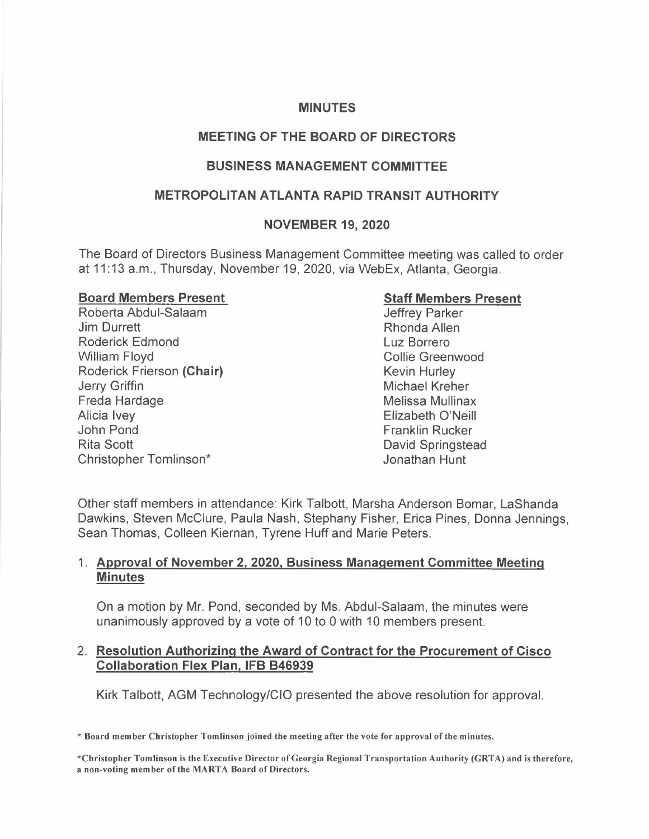#### **MINUTES**

## **MEETING OF THE BOARD OF DIRECTORS**

## **BUSINESS MANAGEMENT COMMITTEE**

### **METROPOLITAN ATLANTA RAPID TRANSIT AUTHORITY**

### **NOVEMBER 19, 2020**

The Board of Directors Business Management Committee meeting was called to order at 11 :13 a.m., Thursday, November 19, 2020, via WebEx, Atlanta, Georgia.

#### **Board Members Present**

Roberta Abdul-Salaam Jim Durrett Roderick Edmond William Floyd Roderick Frierson **(Chair)**  Jerry Griffin Freda Hardage Alicia Ivey John Pond Rita Scott Christopher Tomlinson\*

#### **Staff Members Present**

Jeffrey Parker Rhonda Allen Luz Borrero Collie Greenwood Kevin Hurley Michael Kreher Melissa Mullinax Elizabeth O'Neill Franklin Rucker David Springstead Jonathan Hunt

Other staff members in attendance: Kirk Talbott, Marsha Anderson Bomar, LaShanda Dawkins, Steven McClure, Paula Nash, Stephany Fisher, Erica Pines, Donna Jennings, Sean Thomas, Colleen Kiernan, Tyrene Huff and Marie Peters.

### 1. **Approval of November 2, 2020, Business Management Committee Meeting Minutes**

On a motion by Mr. Pond, seconded by Ms. Abdul-Salaam, the minutes were unanimously approved by a vote of 10 to O with 10 members present.

### 2. **Resolution Authorizing the Award of Contract for the Procurement of Cisco Collaboration Flex Plan, IFB 846939**

Kirk Talbott, AGM Technology/Clo presented the above resolution for approval.

\* **Board member Christopher Tomlinson joined the meeting after the vote for approval of the minutes.** 

**<sup>\*</sup>Christopher Tomlinson is the Executive Director of Georgia Regional Transportation Authority (GRTA) and is therefore, a non-voting member of the MARTA Board of Directors.**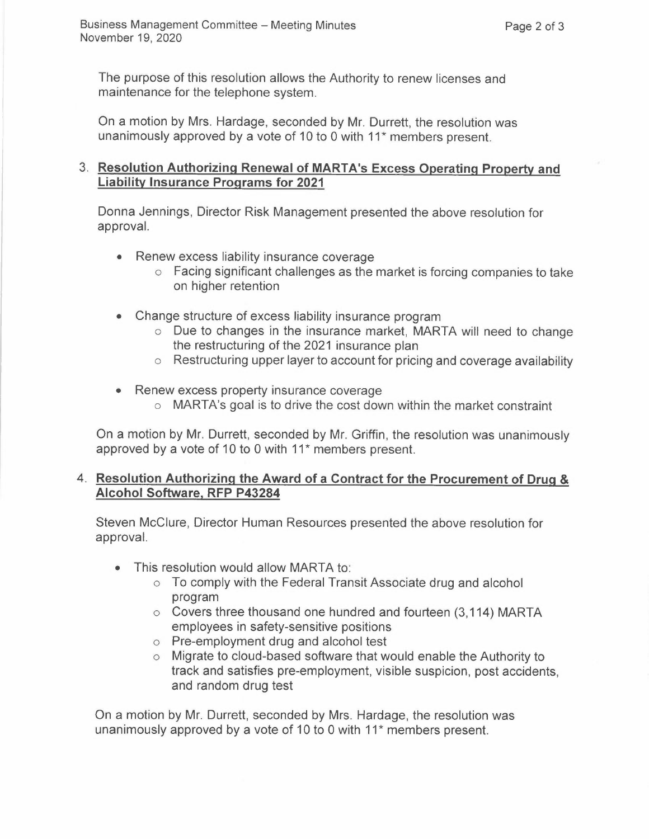The purpose of this resolution allows the Authority to renew licenses and maintenance for the telephone system.

On a motion by Mrs. Hardage, seconded by Mr. Durrett, the resolution was unanimously approved by a vote of 10 to 0 with 11<sup>\*</sup> members present.

## 3. **Resolution Authorizing Renewal of MARTA's Excess Operating Property and Liability Insurance Programs for 2021**

Donna Jennings, Director Risk Management presented the above resolution for approval.

- Renew excess liability insurance coverage
	- o Facing significant challenges as the market is forcing companies to take on higher retention
- Change structure of excess liability insurance program
	- o Due to changes in the insurance market, MARTA will need to change the restructuring of the 2021 insurance plan
	- o Restructuring upper layer to account for pricing and coverage availability
- Renew excess property insurance coverage
	- o MARTA's goal is to drive the cost down within the market constraint

On a motion by Mr. Durrett, seconded by Mr. Griffin, the resolution was unanimously approved by a vote of 10 to 0 with 11<sup>\*</sup> members present.

## **4. Resolution Authorizing the Award of a Contract for the Procurement of Drug** & **Alcohol Software, RFP P43284**

Steven McClure, Director Human Resources presented the above resolution for approval.

- This resolution would allow MARTA to:
	- o To comply with the Federal Transit Associate drug and alcohol program
	- o Covers three thousand one hundred and fourteen (3,114) MARTA employees in safety-sensitive positions
	- o Pre-employment drug and alcohol test
	- o Migrate to cloud-based software that would enable the Authority to track and satisfies pre-employment, visible suspicion, post accidents, and random drug test

On a motion by Mr. Durrett, seconded by Mrs. Hardage, the resolution was unanimously approved by a vote of 10 to 0 with  $11<sup>*</sup>$  members present.